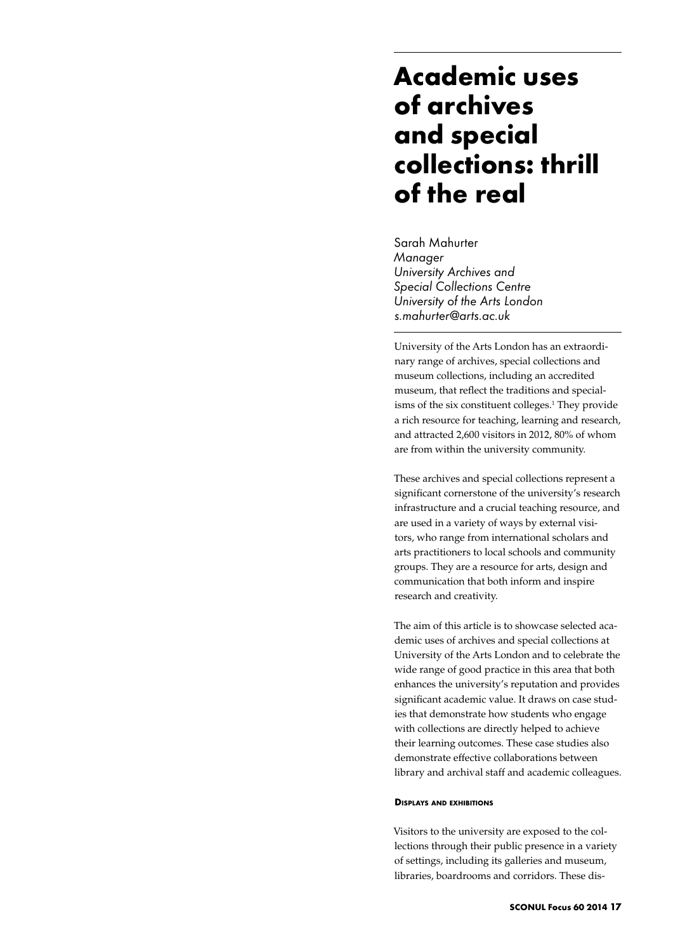## **Academic uses of archives and special collections: thrill of the real**

Sarah Mahurter *Manager University Archives and Special Collections Centre University of the Arts London s.mahurter@arts.ac.uk* 

University of the Arts London has an extraordinary range of archives, special collections and museum collections, including an accredited museum, that reflect the traditions and specialisms of the six constituent colleges.<sup>1</sup> They provide a rich resource for teaching, learning and research, and attracted 2,600 visitors in 2012, 80% of whom are from within the university community.

These archives and special collections represent a significant cornerstone of the university's research infrastructure and a crucial teaching resource, and are used in a variety of ways by external visitors, who range from international scholars and arts practitioners to local schools and community groups. They are a resource for arts, design and communication that both inform and inspire research and creativity.

The aim of this article is to showcase selected academic uses of archives and special collections at University of the Arts London and to celebrate the wide range of good practice in this area that both enhances the university's reputation and provides significant academic value. It draws on case studies that demonstrate how students who engage with collections are directly helped to achieve their learning outcomes. These case studies also demonstrate effective collaborations between library and archival staff and academic colleagues.

## **Displays and exhibitions**

Visitors to the university are exposed to the collections through their public presence in a variety of settings, including its galleries and museum, libraries, boardrooms and corridors. These dis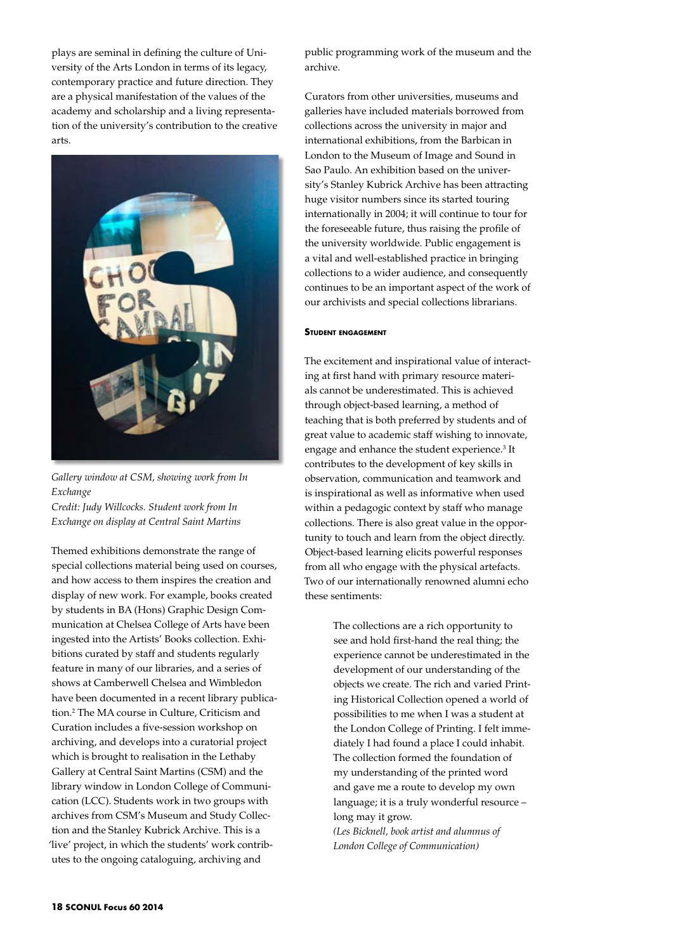plays are seminal in defining the culture of University of the Arts London in terms of its legacy, contemporary practice and future direction. They are a physical manifestation of the values of the academy and scholarship and a living representation of the university's contribution to the creative arts.



*Gallery window at CSM, showing work from In Exchange Credit: Judy Willcocks. Student work from In* 

*Exchange on display at Central Saint Martins*

Themed exhibitions demonstrate the range of special collections material being used on courses, and how access to them inspires the creation and display of new work. For example, books created by students in BA (Hons) Graphic Design Communication at Chelsea College of Arts have been ingested into the Artists' Books collection. Exhibitions curated by staff and students regularly feature in many of our libraries, and a series of shows at Camberwell Chelsea and Wimbledon have been documented in a recent library publication.2 The MA course in Culture, Criticism and Curation includes a five-session workshop on archiving, and develops into a curatorial project which is brought to realisation in the Lethaby Gallery at Central Saint Martins (CSM) and the library window in London College of Communication (LCC). Students work in two groups with archives from CSM's Museum and Study Collection and the Stanley Kubrick Archive. This is a 'live' project, in which the students' work contributes to the ongoing cataloguing, archiving and

public programming work of the museum and the archive.

Curators from other universities, museums and galleries have included materials borrowed from collections across the university in major and international exhibitions, from the Barbican in London to the Museum of Image and Sound in Sao Paulo. An exhibition based on the university's Stanley Kubrick Archive has been attracting huge visitor numbers since its started touring internationally in 2004; it will continue to tour for the foreseeable future, thus raising the profile of the university worldwide. Public engagement is a vital and well-established practice in bringing collections to a wider audience, and consequently continues to be an important aspect of the work of our archivists and special collections librarians.

## **Student engagement**

The excitement and inspirational value of interacting at first hand with primary resource materials cannot be underestimated. This is achieved through object-based learning, a method of teaching that is both preferred by students and of great value to academic staff wishing to innovate, engage and enhance the student experience.<sup>3</sup> It contributes to the development of key skills in observation, communication and teamwork and is inspirational as well as informative when used within a pedagogic context by staff who manage collections. There is also great value in the opportunity to touch and learn from the object directly. Object-based learning elicits powerful responses from all who engage with the physical artefacts. Two of our internationally renowned alumni echo these sentiments:

> The collections are a rich opportunity to see and hold first-hand the real thing; the experience cannot be underestimated in the development of our understanding of the objects we create. The rich and varied Printing Historical Collection opened a world of possibilities to me when I was a student at the London College of Printing. I felt immediately I had found a place I could inhabit. The collection formed the foundation of my understanding of the printed word and gave me a route to develop my own language; it is a truly wonderful resource – long may it grow.

*(Les Bicknell, book artist and alumnus of London College of Communication)*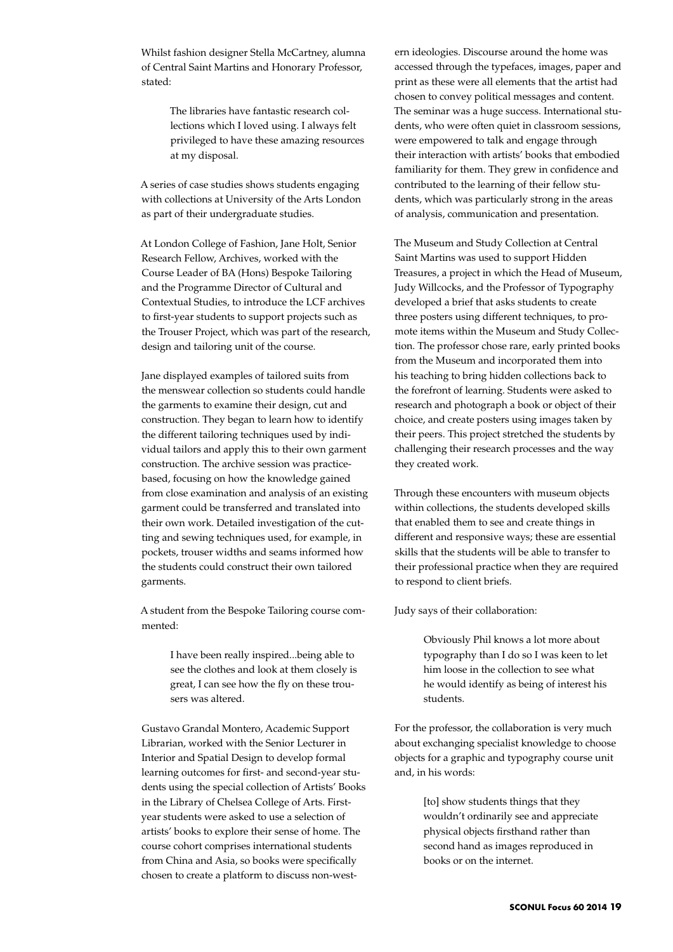Whilst fashion designer Stella McCartney, alumna of Central Saint Martins and Honorary Professor, stated:

> The libraries have fantastic research collections which I loved using. I always felt privileged to have these amazing resources at my disposal.

A series of case studies shows students engaging with collections at University of the Arts London as part of their undergraduate studies.

At London College of Fashion, Jane Holt, Senior Research Fellow, Archives, worked with the Course Leader of BA (Hons) Bespoke Tailoring and the Programme Director of Cultural and Contextual Studies, to introduce the LCF archives to first-year students to support projects such as the Trouser Project, which was part of the research, design and tailoring unit of the course.

Jane displayed examples of tailored suits from the menswear collection so students could handle the garments to examine their design, cut and construction. They began to learn how to identify the different tailoring techniques used by individual tailors and apply this to their own garment construction. The archive session was practicebased, focusing on how the knowledge gained from close examination and analysis of an existing garment could be transferred and translated into their own work. Detailed investigation of the cutting and sewing techniques used, for example, in pockets, trouser widths and seams informed how the students could construct their own tailored garments.

A student from the Bespoke Tailoring course commented:

> I have been really inspired...being able to see the clothes and look at them closely is great, I can see how the fly on these trousers was altered.

Gustavo Grandal Montero, Academic Support Librarian, worked with the Senior Lecturer in Interior and Spatial Design to develop formal learning outcomes for first- and second-year students using the special collection of Artists' Books in the Library of Chelsea College of Arts. Firstyear students were asked to use a selection of artists' books to explore their sense of home. The course cohort comprises international students from China and Asia, so books were specifically chosen to create a platform to discuss non-western ideologies. Discourse around the home was accessed through the typefaces, images, paper and print as these were all elements that the artist had chosen to convey political messages and content. The seminar was a huge success. International students, who were often quiet in classroom sessions, were empowered to talk and engage through their interaction with artists' books that embodied familiarity for them. They grew in confidence and contributed to the learning of their fellow students, which was particularly strong in the areas of analysis, communication and presentation.

The Museum and Study Collection at Central Saint Martins was used to support Hidden Treasures, a project in which the Head of Museum, Judy Willcocks, and the Professor of Typography developed a brief that asks students to create three posters using different techniques, to promote items within the Museum and Study Collection. The professor chose rare, early printed books from the Museum and incorporated them into his teaching to bring hidden collections back to the forefront of learning. Students were asked to research and photograph a book or object of their choice, and create posters using images taken by their peers. This project stretched the students by challenging their research processes and the way they created work.

Through these encounters with museum objects within collections, the students developed skills that enabled them to see and create things in different and responsive ways; these are essential skills that the students will be able to transfer to their professional practice when they are required to respond to client briefs.

Judy says of their collaboration:

Obviously Phil knows a lot more about typography than I do so I was keen to let him loose in the collection to see what he would identify as being of interest his students.

For the professor, the collaboration is very much about exchanging specialist knowledge to choose objects for a graphic and typography course unit and, in his words:

> [to] show students things that they wouldn't ordinarily see and appreciate physical objects firsthand rather than second hand as images reproduced in books or on the internet.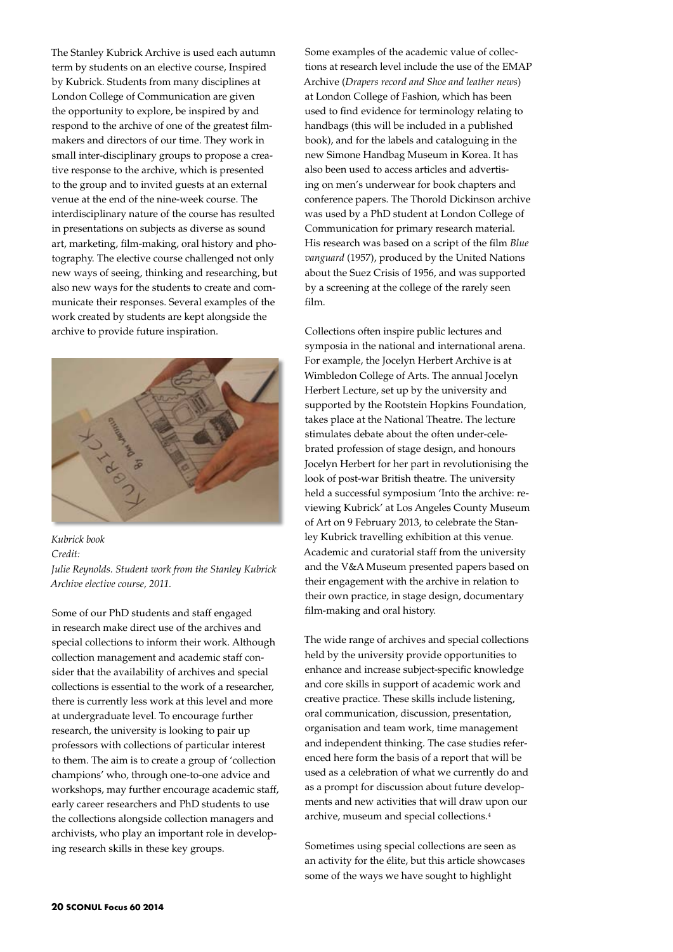The Stanley Kubrick Archive is used each autumn term by students on an elective course, Inspired by Kubrick. Students from many disciplines at London College of Communication are given the opportunity to explore, be inspired by and respond to the archive of one of the greatest filmmakers and directors of our time. They work in small inter-disciplinary groups to propose a creative response to the archive, which is presented to the group and to invited guests at an external venue at the end of the nine-week course. The interdisciplinary nature of the course has resulted in presentations on subjects as diverse as sound art, marketing, film-making, oral history and photography. The elective course challenged not only new ways of seeing, thinking and researching, but also new ways for the students to create and communicate their responses. Several examples of the work created by students are kept alongside the archive to provide future inspiration.



*Kubrick book Credit: Julie Reynolds. Student work from the Stanley Kubrick Archive elective course, 2011.*

Some of our PhD students and staff engaged in research make direct use of the archives and special collections to inform their work. Although collection management and academic staff consider that the availability of archives and special collections is essential to the work of a researcher, there is currently less work at this level and more at undergraduate level. To encourage further research, the university is looking to pair up professors with collections of particular interest to them. The aim is to create a group of 'collection champions' who, through one-to-one advice and workshops, may further encourage academic staff, early career researchers and PhD students to use the collections alongside collection managers and archivists, who play an important role in developing research skills in these key groups.

Some examples of the academic value of collections at research level include the use of the EMAP Archive (*Drapers record and Shoe and leather news*) at London College of Fashion, which has been used to find evidence for terminology relating to handbags (this will be included in a published book), and for the labels and cataloguing in the new Simone Handbag Museum in Korea. It has also been used to access articles and advertising on men's underwear for book chapters and conference papers. The Thorold Dickinson archive was used by a PhD student at London College of Communication for primary research material. His research was based on a script of the film *Blue vanguard* (1957), produced by the United Nations about the Suez Crisis of 1956, and was supported by a screening at the college of the rarely seen film.

Collections often inspire public lectures and symposia in the national and international arena. For example, the Jocelyn Herbert Archive is at Wimbledon College of Arts. The annual Jocelyn Herbert Lecture, set up by the university and supported by the Rootstein Hopkins Foundation, takes place at the National Theatre. The lecture stimulates debate about the often under-celebrated profession of stage design, and honours Jocelyn Herbert for her part in revolutionising the look of post-war British theatre. The university held a successful symposium 'Into the archive: reviewing Kubrick' at Los Angeles County Museum of Art on 9 February 2013, to celebrate the Stanley Kubrick travelling exhibition at this venue. Academic and curatorial staff from the university and the V&A Museum presented papers based on their engagement with the archive in relation to their own practice, in stage design, documentary film-making and oral history.

The wide range of archives and special collections held by the university provide opportunities to enhance and increase subject-specific knowledge and core skills in support of academic work and creative practice. These skills include listening, oral communication, discussion, presentation, organisation and team work, time management and independent thinking. The case studies referenced here form the basis of a report that will be used as a celebration of what we currently do and as a prompt for discussion about future developments and new activities that will draw upon our archive, museum and special collections.4

Sometimes using special collections are seen as an activity for the élite, but this article showcases some of the ways we have sought to highlight